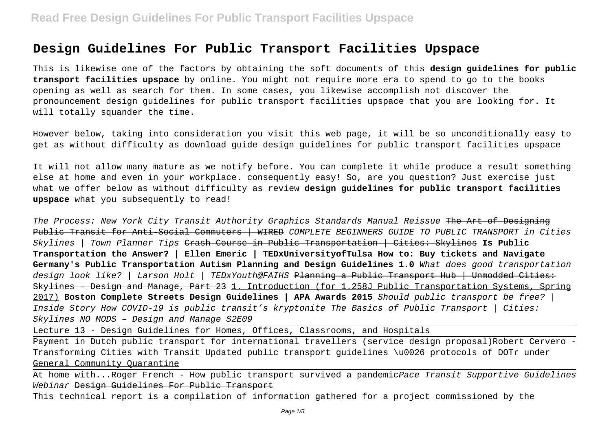# **Design Guidelines For Public Transport Facilities Upspace**

This is likewise one of the factors by obtaining the soft documents of this **design guidelines for public transport facilities upspace** by online. You might not require more era to spend to go to the books opening as well as search for them. In some cases, you likewise accomplish not discover the pronouncement design guidelines for public transport facilities upspace that you are looking for. It will totally squander the time.

However below, taking into consideration you visit this web page, it will be so unconditionally easy to get as without difficulty as download guide design guidelines for public transport facilities upspace

It will not allow many mature as we notify before. You can complete it while produce a result something else at home and even in your workplace. consequently easy! So, are you question? Just exercise just what we offer below as without difficulty as review **design guidelines for public transport facilities upspace** what you subsequently to read!

The Process: New York City Transit Authority Graphics Standards Manual Reissue The Art of Designing Public Transit for Anti-Social Commuters | WIRED COMPLETE BEGINNERS GUIDE TO PUBLIC TRANSPORT in Cities Skylines | Town Planner Tips Crash Course in Public Transportation | Cities: Skylines **Is Public Transportation the Answer? | Ellen Emeric | TEDxUniversityofTulsa How to: Buy tickets and Navigate Germany's Public Transportation Autism Planning and Design Guidelines 1.0** What does good transportation design look like? | Larson Holt | TEDxYouth@FAIHS <del>Planning a Public Transport Hub | Unmodded Cities:</del> Skylines – Design and Manage, Part 23 1. Introduction (for 1.258J Public Transportation Systems, Spring 2017) **Boston Complete Streets Design Guidelines | APA Awards 2015** Should public transport be free? | Inside Story How COVID-19 is public transit's kryptonite The Basics of Public Transport | Cities: Skylines NO MODS – Design and Manage S2E09

Lecture 13 - Design Guidelines for Homes, Offices, Classrooms, and Hospitals

Payment in Dutch public transport for international travellers (service design proposal)Robert Cervero -Transforming Cities with Transit Updated public transport guidelines \u0026 protocols of DOTr under General Community Quarantine

At home with...Roger French - How public transport survived a pandemicPace Transit Supportive Guidelines Webinar <del>Design Guidelines For Public Transport</del>

This technical report is a compilation of information gathered for a project commissioned by the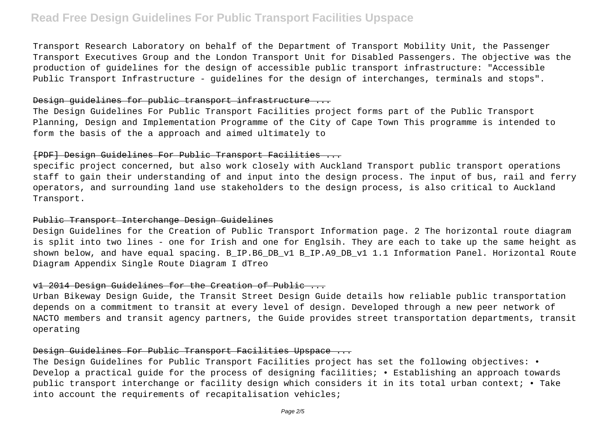# **Read Free Design Guidelines For Public Transport Facilities Upspace**

Transport Research Laboratory on behalf of the Department of Transport Mobility Unit, the Passenger Transport Executives Group and the London Transport Unit for Disabled Passengers. The objective was the production of guidelines for the design of accessible public transport infrastructure: "Accessible Public Transport Infrastructure - guidelines for the design of interchanges, terminals and stops".

#### Design guidelines for public transport infrastructure ...

The Design Guidelines For Public Transport Facilities project forms part of the Public Transport Planning, Design and Implementation Programme of the City of Cape Town This programme is intended to form the basis of the a approach and aimed ultimately to

### [PDF] Design Guidelines For Public Transport Facilities ...

specific project concerned, but also work closely with Auckland Transport public transport operations staff to gain their understanding of and input into the design process. The input of bus, rail and ferry operators, and surrounding land use stakeholders to the design process, is also critical to Auckland Transport.

#### Public Transport Interchange Design Guidelines

Design Guidelines for the Creation of Public Transport Information page. 2 The horizontal route diagram is split into two lines - one for Irish and one for Englsih. They are each to take up the same height as shown below, and have equal spacing. B\_IP.B6\_DB\_v1 B\_IP.A9\_DB\_v1 1.1 Information Panel. Horizontal Route Diagram Appendix Single Route Diagram I dTreo

### v1 2014 Design Guidelines for the Creation of Public ...

Urban Bikeway Design Guide, the Transit Street Design Guide details how reliable public transportation depends on a commitment to transit at every level of design. Developed through a new peer network of NACTO members and transit agency partners, the Guide provides street transportation departments, transit operating

#### Design Guidelines For Public Transport Facilities Upspace ...

The Design Guidelines for Public Transport Facilities project has set the following objectives: • Develop a practical guide for the process of designing facilities; . Establishing an approach towards public transport interchange or facility design which considers it in its total urban context; • Take into account the requirements of recapitalisation vehicles;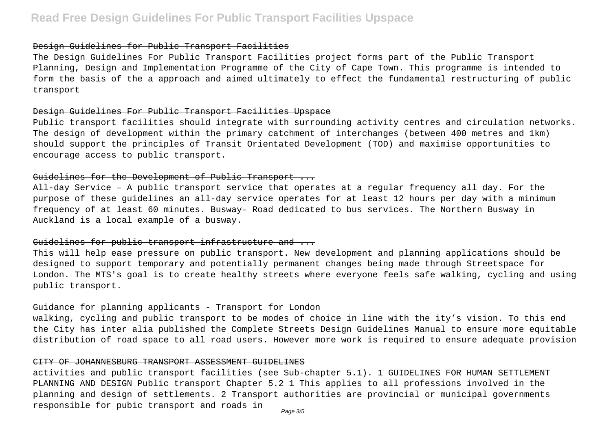#### Design Guidelines for Public Transport Facilities

The Design Guidelines For Public Transport Facilities project forms part of the Public Transport Planning, Design and Implementation Programme of the City of Cape Town. This programme is intended to form the basis of the a approach and aimed ultimately to effect the fundamental restructuring of public transport

#### Design Guidelines For Public Transport Facilities Upspace

Public transport facilities should integrate with surrounding activity centres and circulation networks. The design of development within the primary catchment of interchanges (between 400 metres and 1km) should support the principles of Transit Orientated Development (TOD) and maximise opportunities to encourage access to public transport.

# Guidelines for the Development of Public Transport ...

All-day Service – A public transport service that operates at a regular frequency all day. For the purpose of these guidelines an all-day service operates for at least 12 hours per day with a minimum frequency of at least 60 minutes. Busway– Road dedicated to bus services. The Northern Busway in Auckland is a local example of a busway.

### Guidelines for public transport infrastructure and ...

This will help ease pressure on public transport. New development and planning applications should be designed to support temporary and potentially permanent changes being made through Streetspace for London. The MTS's goal is to create healthy streets where everyone feels safe walking, cycling and using public transport.

#### Guidance for planning applicants - Transport for London

walking, cycling and public transport to be modes of choice in line with the ity's vision. To this end the City has inter alia published the Complete Streets Design Guidelines Manual to ensure more equitable distribution of road space to all road users. However more work is required to ensure adequate provision

#### CITY OF JOHANNESBURG TRANSPORT ASSESSMENT GUIDELINES

activities and public transport facilities (see Sub-chapter 5.1). 1 GUIDELINES FOR HUMAN SETTLEMENT PLANNING AND DESIGN Public transport Chapter 5.2 1 This applies to all professions involved in the planning and design of settlements. 2 Transport authorities are provincial or municipal governments responsible for pubic transport and roads in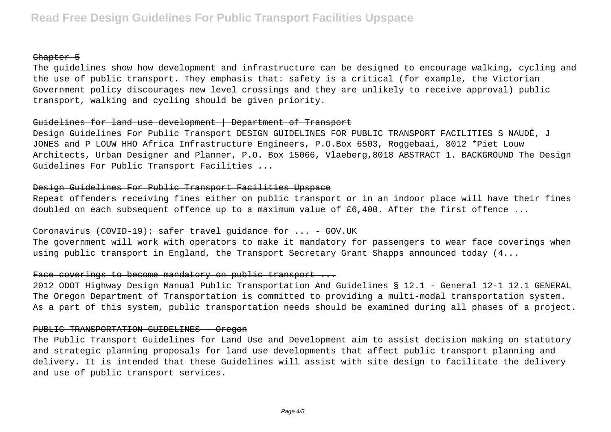#### Chapter 5

The guidelines show how development and infrastructure can be designed to encourage walking, cycling and the use of public transport. They emphasis that: safety is a critical (for example, the Victorian Government policy discourages new level crossings and they are unlikely to receive approval) public transport, walking and cycling should be given priority.

# Guidelines for land use development | Department of Transport

Design Guidelines For Public Transport DESIGN GUIDELINES FOR PUBLIC TRANSPORT FACILITIES S NAUDÉ, J JONES and P LOUW HHO Africa Infrastructure Engineers, P.O.Box 6503, Roggebaai, 8012 \*Piet Louw Architects, Urban Designer and Planner, P.O. Box 15066, Vlaeberg,8018 ABSTRACT 1. BACKGROUND The Design Guidelines For Public Transport Facilities ...

## Design Guidelines For Public Transport Facilities Upspace

Repeat offenders receiving fines either on public transport or in an indoor place will have their fines doubled on each subsequent offence up to a maximum value of £6,400. After the first offence ...

# Coronavirus (COVID-19): safer travel quidance for ... GOV.UK

The government will work with operators to make it mandatory for passengers to wear face coverings when using public transport in England, the Transport Secretary Grant Shapps announced today (4...

# Face coverings to become mandatory on public transport ...

2012 ODOT Highway Design Manual Public Transportation And Guidelines § 12.1 - General 12-1 12.1 GENERAL The Oregon Department of Transportation is committed to providing a multi-modal transportation system. As a part of this system, public transportation needs should be examined during all phases of a project.

#### PUBLIC TRANSPORTATION GUIDELINES - Oregon

The Public Transport Guidelines for Land Use and Development aim to assist decision making on statutory and strategic planning proposals for land use developments that affect public transport planning and delivery. It is intended that these Guidelines will assist with site design to facilitate the delivery and use of public transport services.